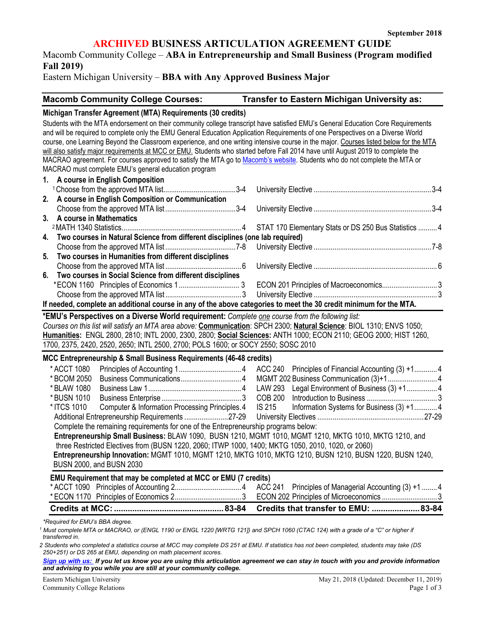### **ARCHIVED BUSINESS ARTICULATION AGREEMENT GUIDE**

Macomb Community College – **ABA in Entrepreneurship and Small Business (Program modified Fall 2019)**

Eastern Michigan University – **BBA with Any Approved Business Major**

| <b>Macomb Community College Courses:</b> | Transfer to Eastern Michigan University as: |
|------------------------------------------|---------------------------------------------|
|                                          |                                             |

#### **Michigan Transfer Agreement (MTA) Requirements (30 credits)**

Students with the MTA endorsement on their community college transcript have satisfied EMU's General Education Core Requirements and will be required to complete only the EMU General Education Application Requirements of one Perspectives on a Diverse World course, one Learning Beyond the Classroom experience, and one writing intensive course in the major. Courses listed below for the MTA will also satisfy major requirements at MCC or EMU. Students who started before Fall 2014 have until August 2019 to complete the MACRAO agreement. For courses approved to satisfy the MTA go t[o Macomb's website.](http://www.macomb.edu/resources/transfer-articulation/attachments/mta-macrao-course-list.pdf) Students who do not complete the MTA or MACRAO must complete EMU's general education program

| 1. A course in English Composition                                                                                 |  |
|--------------------------------------------------------------------------------------------------------------------|--|
|                                                                                                                    |  |
| 2. A course in English Composition or Communication                                                                |  |
|                                                                                                                    |  |
| 3. A course in Mathematics                                                                                         |  |
|                                                                                                                    |  |
| 4. Two courses in Natural Science from different disciplines (one lab required)                                    |  |
|                                                                                                                    |  |
| 5. Two courses in Humanities from different disciplines                                                            |  |
|                                                                                                                    |  |
| 6. Two courses in Social Science from different disciplines                                                        |  |
|                                                                                                                    |  |
|                                                                                                                    |  |
| If needed, complete an additional course in any of the above categories to meet the 30 credit minimum for the MTA. |  |

**\*EMU's Perspectives on a Diverse World requirement:** *Complete one course from the following list:* 

*Courses on this list will satisfy an MTA area above:* **Communication**: SPCH 2300; **Natural Science**: BIOL 1310; ENVS 1050; **Humanities:** ENGL 2800, 2810; INTL 2000, 2300, 2800; **Social Sciences:** ANTH 1000; ECON 2110; GEOG 2000; HIST 1260, 1700, 2375, 2420, 2520, 2650; INTL 2500, 2700; POLS 1600; or SOCY 2550; SOSC 2010

#### **MCC Entrepreneurship & Small Business Requirements (46-48 credits)**

| * ACCT 1080 |                                                                                                           |  |  |
|-------------|-----------------------------------------------------------------------------------------------------------|--|--|
| * BCOM 2050 |                                                                                                           |  |  |
| * BLAW 1080 |                                                                                                           |  |  |
| * BUSN 1010 |                                                                                                           |  |  |
| * ITCS 1010 | Computer & Information Processing Principles. 4 IS 215 Information Systems for Business (3) +1 4          |  |  |
|             |                                                                                                           |  |  |
|             | Complete the remaining requirements for one of the Entrepreneurship programs below:                       |  |  |
|             | Entrepreneurship Small Business: BLAW 1090, BUSN 1210, MGMT 1010, MGMT 1210, MKTG 1010, MKTG 1210, and    |  |  |
|             | three Restricted Electives from (BUSN 1220, 2060; ITWP 1000, 1400; MKTG 1050, 2010, 1020, or 2060)        |  |  |
|             | Entrepreneurship Innovation: MGMT 1010, MGMT 1210, MKTG 1010, MKTG 1210, BUSN 1210, BUSN 1220, BUSN 1240, |  |  |
|             | BUSN 2000, and BUSN 2030                                                                                  |  |  |
|             | <b>EMILLO</b> Dequirement that may be completed at MCC or EMIL(7 credite)                                 |  |  |

#### **EMU Requirement that may be completed at MCC or EMU (7 credits)**

| ACC 241 Principles of Managerial Accounting (3) +1 4 |
|------------------------------------------------------|

*\*Required for EMU's BBA degree.*

<sup>1</sup> Must complete MTA or MACRAO, or (ENGL 1190 or ENGL 1220 [WRTG 121]) and SPCH 1060 (CTAC 124) with a grade of a "C" or higher if *transferred in.* 

*2 Students who completed a statistics course at MCC may complete DS 251 at EMU. If statistics has not been completed, students may take (DS 250+251) or DS 265 at EMU, depending on math placement scores.* 

*[Sign up with us:](https://www.emich.edu/ccr/articulation-agreements/signup.php) If you let us know you are using this articulation agreement we can stay in touch with you and provide information and advising to you while you are still at your community college.*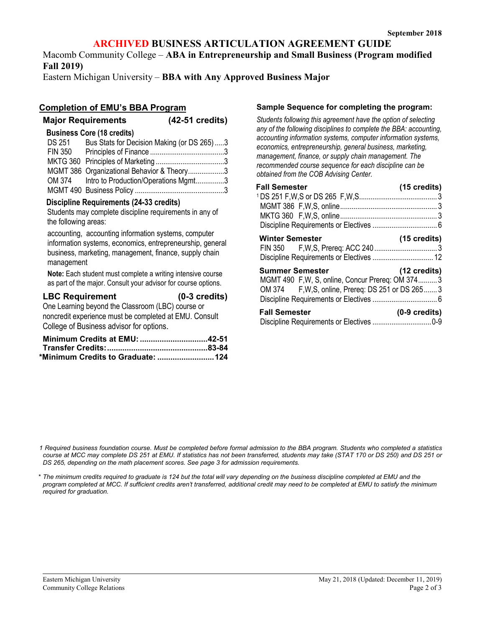## **ARCHIVED BUSINESS ARTICULATION AGREEMENT GUIDE**

Macomb Community College – **ABA in Entrepreneurship and Small Business (Program modified Fall 2019)**

Eastern Michigan University – **BBA with Any Approved Business Major**

## **Completion of EMU's BBA Program**

| <b>Major Requirements</b> |  | $(42-51$ credits) |
|---------------------------|--|-------------------|

| <b>Business Core (18 credits)</b>                  |  |
|----------------------------------------------------|--|
| DS 251 Bus Stats for Decision Making (or DS 265) 3 |  |
|                                                    |  |
|                                                    |  |
| MGMT 386 Organizational Behavior & Theory3         |  |
| OM 374 Intro to Production/Operations Mgmt3        |  |
|                                                    |  |

### **Discipline Requirements (24-33 credits)**

Students may complete discipline requirements in any of the following areas:

accounting, accounting information systems, computer information systems, economics, entrepreneurship, general business, marketing, management, finance, supply chain management

**Note:** Each student must complete a writing intensive course as part of the major. Consult your advisor for course options.

### **LBC Requirement (0-3 credits)**

One Learning beyond the Classroom (LBC) course or noncredit experience must be completed at EMU. Consult

College of Business advisor for options.

| Minimum Credits at EMU: 42-51     |  |
|-----------------------------------|--|
|                                   |  |
| *Minimum Credits to Graduate: 124 |  |

### **Sample Sequence for completing the program:**

*Students following this agreement have the option of selecting any of the following disciplines to complete the BBA: accounting, accounting information systems, computer information systems, economics, entrepreneurship, general business, marketing, management, finance, or supply chain management. The recommended course sequence for each discipline can be obtained from the COB Advising Center.*

| <b>Fall Semester</b>                                                                                                              | $(15 \text{ credits})$  |
|-----------------------------------------------------------------------------------------------------------------------------------|-------------------------|
|                                                                                                                                   |                         |
|                                                                                                                                   |                         |
| <b>Winter Semester</b>                                                                                                            | $(15 \text{ credits})$  |
| <b>Summer Semester</b><br>MGMT 490 F, W, S, online, Concur Prereq: OM 374 3<br>OM 374 F, W, S, online, Prereq: DS 251 or DS 265 3 | $(12 \text{ credits})$  |
| <b>Fall Semester</b>                                                                                                              | $(0-9 \text{ credits})$ |

*1 Required business foundation course. Must be completed before formal admission to the BBA program. Students who completed a statistics course at MCC may complete DS 251 at EMU. If statistics has not been transferred, students may take (STAT 170 or DS 250) and DS 251 or DS 265, depending on the math placement scores. See page 3 for admission requirements.* 

*\* The minimum credits required to graduate is 124 but the total will vary depending on the business discipline completed at EMU and the program completed at MCC. If sufficient credits aren't transferred, additional credit may need to be completed at EMU to satisfy the minimum required for graduation.*